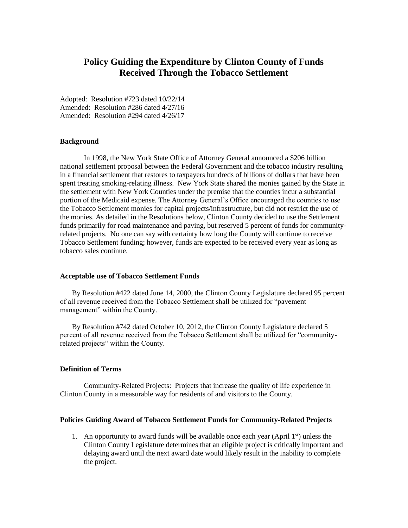# **Policy Guiding the Expenditure by Clinton County of Funds Received Through the Tobacco Settlement**

Adopted: Resolution #723 dated 10/22/14 Amended: Resolution #286 dated 4/27/16 Amended: Resolution #294 dated 4/26/17

## **Background**

In 1998, the New York State Office of Attorney General announced a \$206 billion national settlement proposal between the Federal Government and the tobacco industry resulting in a financial settlement that restores to taxpayers hundreds of billions of dollars that have been spent treating smoking-relating illness. New York State shared the monies gained by the State in the settlement with New York Counties under the premise that the counties incur a substantial portion of the Medicaid expense. The Attorney General's Office encouraged the counties to use the Tobacco Settlement monies for capital projects/infrastructure, but did not restrict the use of the monies. As detailed in the Resolutions below, Clinton County decided to use the Settlement funds primarily for road maintenance and paving, but reserved 5 percent of funds for communityrelated projects. No one can say with certainty how long the County will continue to receive Tobacco Settlement funding; however, funds are expected to be received every year as long as tobacco sales continue.

#### **Acceptable use of Tobacco Settlement Funds**

By Resolution #422 dated June 14, 2000, the Clinton County Legislature declared 95 percent of all revenue received from the Tobacco Settlement shall be utilized for "pavement management" within the County.

By Resolution #742 dated October 10, 2012, the Clinton County Legislature declared 5 percent of all revenue received from the Tobacco Settlement shall be utilized for "communityrelated projects" within the County.

## **Definition of Terms**

Community-Related Projects: Projects that increase the quality of life experience in Clinton County in a measurable way for residents of and visitors to the County.

## **Policies Guiding Award of Tobacco Settlement Funds for Community-Related Projects**

1. An opportunity to award funds will be available once each year (April  $1<sup>st</sup>$ ) unless the Clinton County Legislature determines that an eligible project is critically important and delaying award until the next award date would likely result in the inability to complete the project.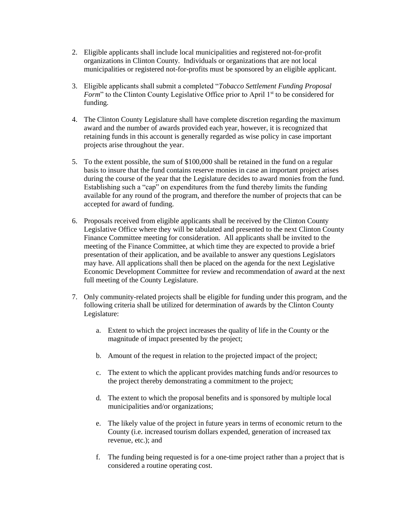- 2. Eligible applicants shall include local municipalities and registered not-for-profit organizations in Clinton County. Individuals or organizations that are not local municipalities or registered not-for-profits must be sponsored by an eligible applicant.
- 3. Eligible applicants shall submit a completed "*Tobacco Settlement Funding Proposal Form*" to the Clinton County Legislative Office prior to April 1<sup>st</sup> to be considered for funding.
- 4. The Clinton County Legislature shall have complete discretion regarding the maximum award and the number of awards provided each year, however, it is recognized that retaining funds in this account is generally regarded as wise policy in case important projects arise throughout the year.
- 5. To the extent possible, the sum of \$100,000 shall be retained in the fund on a regular basis to insure that the fund contains reserve monies in case an important project arises during the course of the year that the Legislature decides to award monies from the fund. Establishing such a "cap" on expenditures from the fund thereby limits the funding available for any round of the program, and therefore the number of projects that can be accepted for award of funding.
- 6. Proposals received from eligible applicants shall be received by the Clinton County Legislative Office where they will be tabulated and presented to the next Clinton County Finance Committee meeting for consideration. All applicants shall be invited to the meeting of the Finance Committee, at which time they are expected to provide a brief presentation of their application, and be available to answer any questions Legislators may have. All applications shall then be placed on the agenda for the next Legislative Economic Development Committee for review and recommendation of award at the next full meeting of the County Legislature.
- 7. Only community-related projects shall be eligible for funding under this program, and the following criteria shall be utilized for determination of awards by the Clinton County Legislature:
	- a. Extent to which the project increases the quality of life in the County or the magnitude of impact presented by the project;
	- b. Amount of the request in relation to the projected impact of the project;
	- c. The extent to which the applicant provides matching funds and/or resources to the project thereby demonstrating a commitment to the project;
	- d. The extent to which the proposal benefits and is sponsored by multiple local municipalities and/or organizations;
	- e. The likely value of the project in future years in terms of economic return to the County (i.e. increased tourism dollars expended, generation of increased tax revenue, etc.); and
	- f. The funding being requested is for a one-time project rather than a project that is considered a routine operating cost.